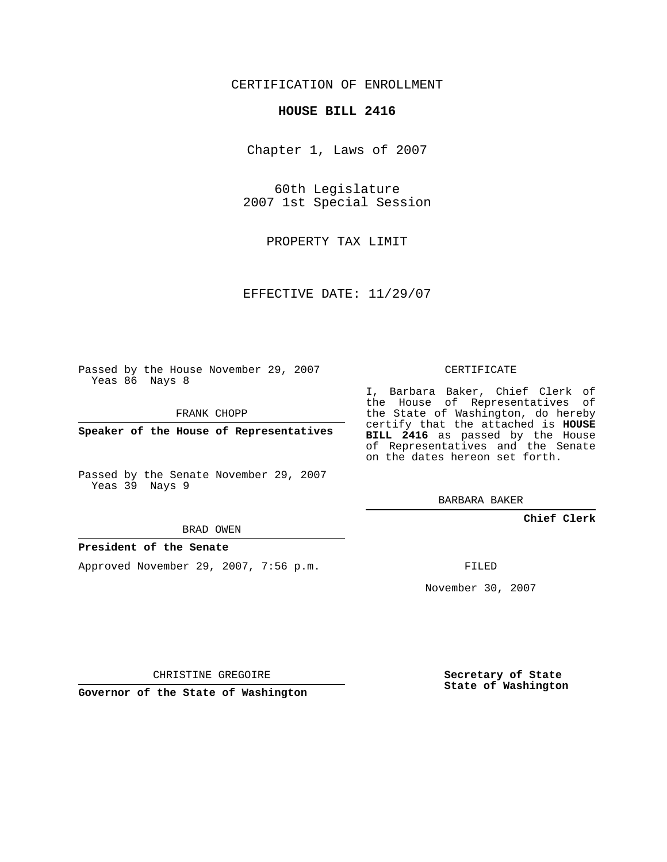### CERTIFICATION OF ENROLLMENT

### **HOUSE BILL 2416**

Chapter 1, Laws of 2007

60th Legislature 2007 1st Special Session

PROPERTY TAX LIMIT

EFFECTIVE DATE: 11/29/07

Passed by the House November 29, 2007 Yeas 86 Nays 8

FRANK CHOPP

**Speaker of the House of Representatives**

Passed by the Senate November 29, 2007 Yeas 39 Nays 9

#### BRAD OWEN

### **President of the Senate**

Approved November 29, 2007, 7:56 p.m.

CERTIFICATE

I, Barbara Baker, Chief Clerk of the House of Representatives of the State of Washington, do hereby certify that the attached is **HOUSE BILL 2416** as passed by the House of Representatives and the Senate on the dates hereon set forth.

BARBARA BAKER

**Chief Clerk**

FILED

November 30, 2007

CHRISTINE GREGOIRE

**Governor of the State of Washington**

**Secretary of State State of Washington**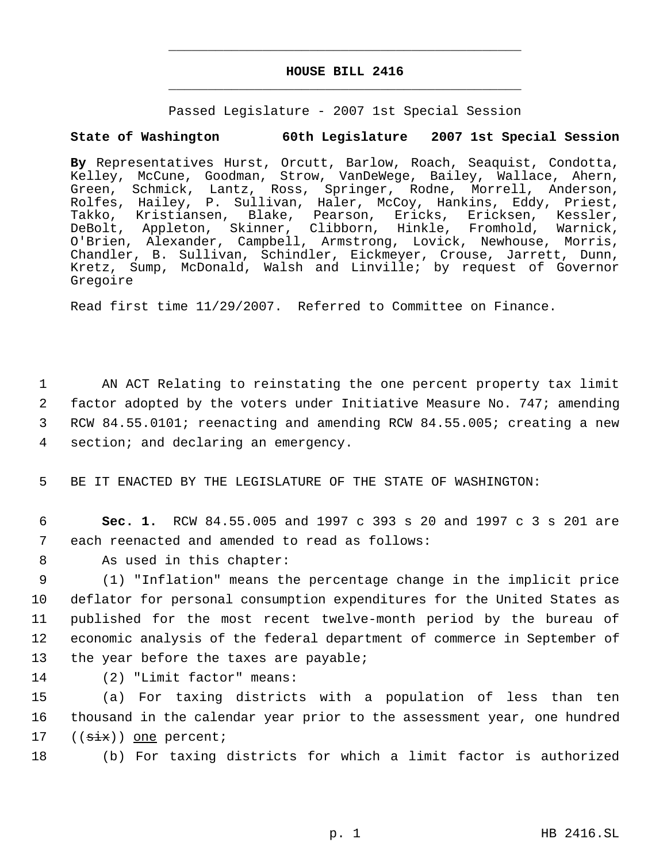# **HOUSE BILL 2416** \_\_\_\_\_\_\_\_\_\_\_\_\_\_\_\_\_\_\_\_\_\_\_\_\_\_\_\_\_\_\_\_\_\_\_\_\_\_\_\_\_\_\_\_\_

\_\_\_\_\_\_\_\_\_\_\_\_\_\_\_\_\_\_\_\_\_\_\_\_\_\_\_\_\_\_\_\_\_\_\_\_\_\_\_\_\_\_\_\_\_

Passed Legislature - 2007 1st Special Session

## **State of Washington 60th Legislature 2007 1st Special Session**

**By** Representatives Hurst, Orcutt, Barlow, Roach, Seaquist, Condotta, Kelley, McCune, Goodman, Strow, VanDeWege, Bailey, Wallace, Ahern, Green, Schmick, Lantz, Ross, Springer, Rodne, Morrell, Anderson, Rolfes, Hailey, P. Sullivan, Haler, McCoy, Hankins, Eddy, Priest, Takko, Kristiansen, Blake, Pearson, Ericks, Ericksen, Kessler, DeBolt, Appleton, Skinner, Clibborn, Hinkle, Fromhold, Warnick, O'Brien, Alexander, Campbell, Armstrong, Lovick, Newhouse, Morris, Chandler, B. Sullivan, Schindler, Eickmeyer, Crouse, Jarrett, Dunn, Kretz, Sump, McDonald, Walsh and Linville; by request of Governor Gregoire

Read first time 11/29/2007. Referred to Committee on Finance.

 AN ACT Relating to reinstating the one percent property tax limit factor adopted by the voters under Initiative Measure No. 747; amending RCW 84.55.0101; reenacting and amending RCW 84.55.005; creating a new section; and declaring an emergency.

5 BE IT ENACTED BY THE LEGISLATURE OF THE STATE OF WASHINGTON:

 6 **Sec. 1.** RCW 84.55.005 and 1997 c 393 s 20 and 1997 c 3 s 201 are 7 each reenacted and amended to read as follows:

8 As used in this chapter:

 (1) "Inflation" means the percentage change in the implicit price deflator for personal consumption expenditures for the United States as published for the most recent twelve-month period by the bureau of economic analysis of the federal department of commerce in September of 13 the year before the taxes are payable;

14 (2) "Limit factor" means:

15 (a) For taxing districts with a population of less than ten 16 thousand in the calendar year prior to the assessment year, one hundred 17  $((\text{six})$  one percent;

18 (b) For taxing districts for which a limit factor is authorized